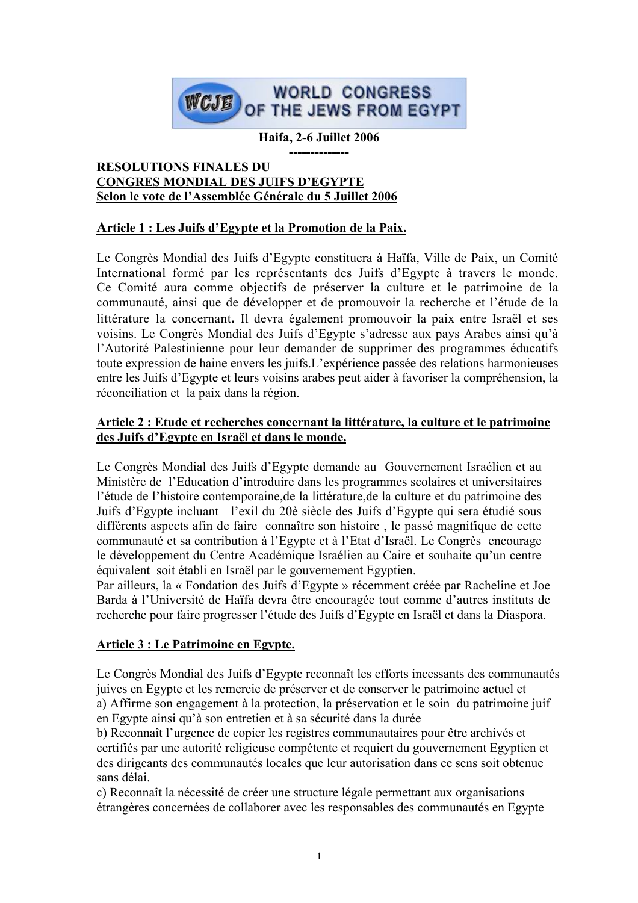

**Haifa, 2-6 Juillet 2006**

#### **-------------- RESOLUTIONS FINALES DU CONGRES MONDIAL DES JUIFS D'EGYPTE Selon le vote de l'Assemblée Générale du 5 Juillet 2006**

# **Article 1 : Les Juifs d'Egypte et la Promotion de la Paix.**

Le Congrès Mondial des Juifs d'Egypte constituera à Haïfa, Ville de Paix, un Comité International formé par les représentants des Juifs d'Egypte à travers le monde. Ce Comité aura comme objectifs de préserver la culture et le patrimoine de la communauté, ainsi que de développer et de promouvoir la recherche et l'étude de la littérature la concernant**.** Il devra également promouvoir la paix entre Israël et ses voisins. Le Congrès Mondial des Juifs d'Egypte s'adresse aux pays Arabes ainsi qu'à l'Autorité Palestinienne pour leur demander de supprimer des programmes éducatifs toute expression de haine envers les juifs.L'expérience passée des relations harmonieuses entre les Juifs d'Egypte et leurs voisins arabes peut aider à favoriser la compréhension, la réconciliation et la paix dans la région.

## **Article 2 : Etude et recherches concernant la littérature, la culture et le patrimoine des Juifs d'Egypte en Israël et dans le monde.**

Le Congrès Mondial des Juifs d'Egypte demande au Gouvernement Israélien et au Ministère de l'Education d'introduire dans les programmes scolaires et universitaires l'étude de l'histoire contemporaine,de la littérature,de la culture et du patrimoine des Juifs d'Egypte incluant l'exil du 20è siècle des Juifs d'Egypte qui sera étudié sous différents aspects afin de faire connaître son histoire , le passé magnifique de cette communauté et sa contribution à l'Egypte et à l'Etat d'Israël. Le Congrès encourage le développement du Centre Académique Israélien au Caire et souhaite qu'un centre équivalent soit établi en Israël par le gouvernement Egyptien.

Par ailleurs, la « Fondation des Juifs d'Egypte » récemment créée par Racheline et Joe Barda à l'Université de Haïfa devra être encouragée tout comme d'autres instituts de recherche pour faire progresser l'étude des Juifs d'Egypte en Israël et dans la Diaspora.

# **Article 3 : Le Patrimoine en Egypte.**

Le Congrès Mondial des Juifs d'Egypte reconnaît les efforts incessants des communautés juives en Egypte et les remercie de préserver et de conserver le patrimoine actuel et a) Affirme son engagement à la protection, la préservation et le soin du patrimoine juif en Egypte ainsi qu'à son entretien et à sa sécurité dans la durée

b) Reconnaît l'urgence de copier les registres communautaires pour être archivés et certifiés par une autorité religieuse compétente et requiert du gouvernement Egyptien et des dirigeants des communautés locales que leur autorisation dans ce sens soit obtenue sans délai.

c) Reconnaît la nécessité de créer une structure légale permettant aux organisations étrangères concernées de collaborer avec les responsables des communautés en Egypte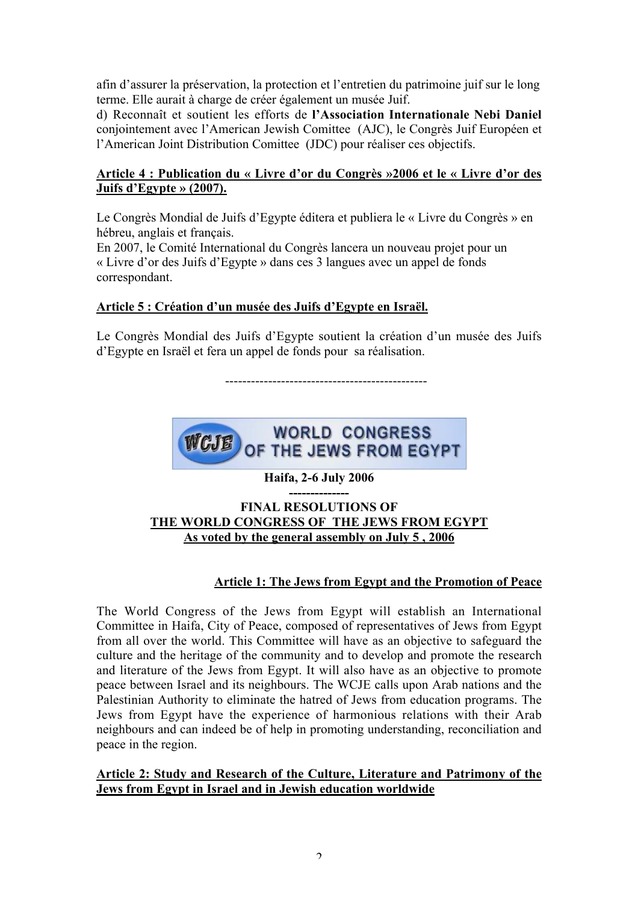afin d'assurer la préservation, la protection et l'entretien du patrimoine juif sur le long terme. Elle aurait à charge de créer également un musée Juif.

d) Reconnaît et soutient les efforts de **l'Association Internationale Nebi Daniel** conjointement avec l'American Jewish Comittee (AJC), le Congrès Juif Européen et l'American Joint Distribution Comittee (JDC) pour réaliser ces objectifs.

## **Article 4 : Publication du « Livre d'or du Congrès »2006 et le « Livre d'or des Juifs d'Egypte » (2007).**

Le Congrès Mondial de Juifs d'Egypte éditera et publiera le « Livre du Congrès » en hébreu, anglais et français.

En 2007, le Comité International du Congrès lancera un nouveau projet pour un « Livre d'or des Juifs d'Egypte » dans ces 3 langues avec un appel de fonds correspondant.

# **Article 5 : Création d'un musée des Juifs d'Egypte en Israël.**

Le Congrès Mondial des Juifs d'Egypte soutient la création d'un musée des Juifs d'Egypte en Israël et fera un appel de fonds pour sa réalisation.

-----------------------------------------------



**Haifa, 2-6 July 2006**

#### **-------------- FINAL RESOLUTIONS OF THE WORLD CONGRESS OF THE JEWS FROM EGYPT As voted by the general assembly on July 5 , 2006**

# **Article 1: The Jews from Egypt and the Promotion of Peace**

The World Congress of the Jews from Egypt will establish an International Committee in Haifa, City of Peace, composed of representatives of Jews from Egypt from all over the world. This Committee will have as an objective to safeguard the culture and the heritage of the community and to develop and promote the research and literature of the Jews from Egypt. It will also have as an objective to promote peace between Israel and its neighbours. The WCJE calls upon Arab nations and the Palestinian Authority to eliminate the hatred of Jews from education programs. The Jews from Egypt have the experience of harmonious relations with their Arab neighbours and can indeed be of help in promoting understanding, reconciliation and peace in the region.

## **Article 2: Study and Research of the Culture, Literature and Patrimony of the Jews from Egypt in Israel and in Jewish education worldwide**